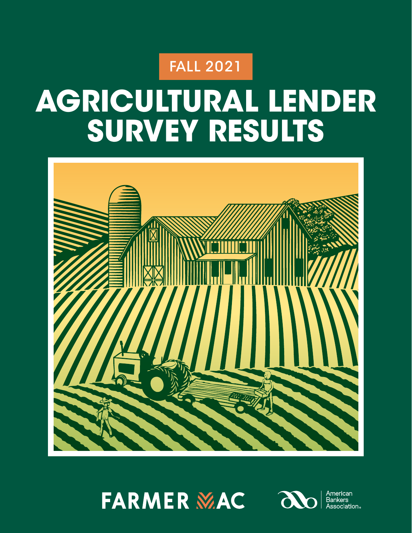# FALL 2021

# **AGRICULTURAL LENDER SURVEY RESULTS**



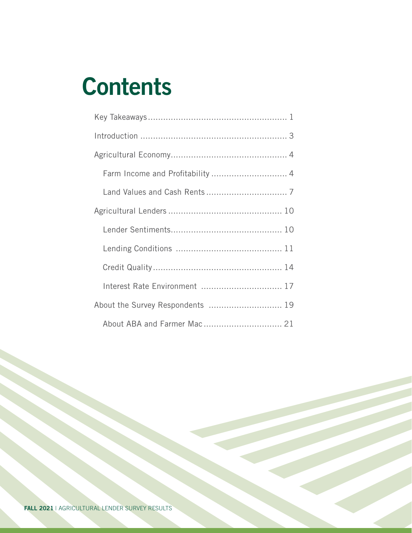# **Contents**

| Farm Income and Profitability  4 |
|----------------------------------|
|                                  |
|                                  |
|                                  |
|                                  |
|                                  |
| Interest Rate Environment  17    |
| About the Survey Respondents  19 |
|                                  |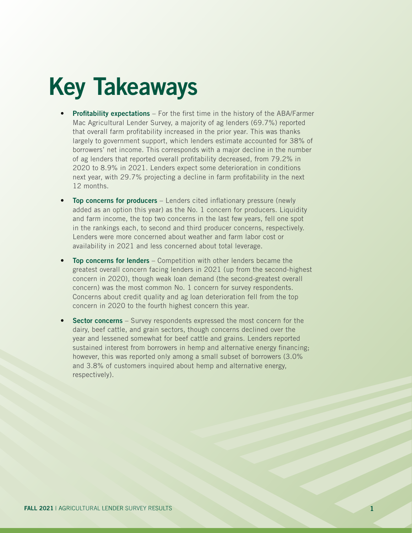# Key Takeaways

- Profitability expectations For the first time in the history of the ABA/Farmer Mac Agricultural Lender Survey, a majority of ag lenders (69.7%) reported that overall farm profitability increased in the prior year. This was thanks largely to government support, which lenders estimate accounted for 38% of borrowers' net income. This corresponds with a major decline in the number of ag lenders that reported overall profitability decreased, from 79.2% in 2020 to 8.9% in 2021. Lenders expect some deterioration in conditions next year, with 29.7% projecting a decline in farm profitability in the next 12 months.
- **Top concerns for producers** Lenders cited inflationary pressure (newly added as an option this year) as the No. 1 concern for producers. Liquidity and farm income, the top two concerns in the last few years, fell one spot in the rankings each, to second and third producer concerns, respectively. Lenders were more concerned about weather and farm labor cost or availability in 2021 and less concerned about total leverage.
- Top concerns for lenders Competition with other lenders became the greatest overall concern facing lenders in 2021 (up from the second-highest concern in 2020), though weak loan demand (the second-greatest overall concern) was the most common No. 1 concern for survey respondents. Concerns about credit quality and ag loan deterioration fell from the top concern in 2020 to the fourth highest concern this year.
- **Sector concerns** Survey respondents expressed the most concern for the dairy, beef cattle, and grain sectors, though concerns declined over the year and lessened somewhat for beef cattle and grains. Lenders reported sustained interest from borrowers in hemp and alternative energy financing; however, this was reported only among a small subset of borrowers (3.0% and 3.8% of customers inquired about hemp and alternative energy, respectively).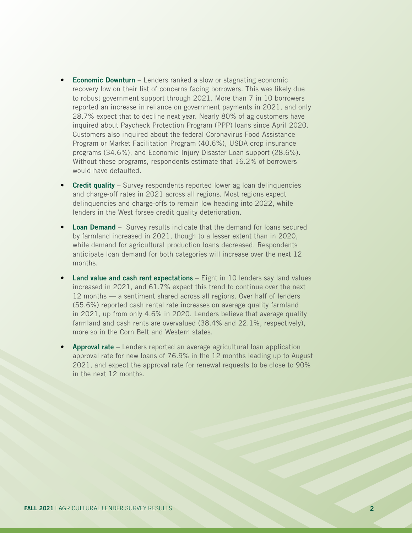- Economic Downturn Lenders ranked a slow or stagnating economic recovery low on their list of concerns facing borrowers. This was likely due to robust government support through 2021. More than 7 in 10 borrowers reported an increase in reliance on government payments in 2021, and only 28.7% expect that to decline next year. Nearly 80% of ag customers have inquired about Paycheck Protection Program (PPP) loans since April 2020. Customers also inquired about the federal Coronavirus Food Assistance Program or Market Facilitation Program (40.6%), USDA crop insurance programs (34.6%), and Economic Injury Disaster Loan support (28.6%). Without these programs, respondents estimate that 16.2% of borrowers would have defaulted.
- Credit quality Survey respondents reported lower ag loan delinquencies and charge-off rates in 2021 across all regions. Most regions expect delinquencies and charge-offs to remain low heading into 2022, while lenders in the West forsee credit quality deterioration.
- Loan Demand Survey results indicate that the demand for loans secured by farmland increased in 2021, though to a lesser extent than in 2020, while demand for agricultural production loans decreased. Respondents anticipate loan demand for both categories will increase over the next 12 months.
- **Land value and cash rent expectations**  $-$  Eight in 10 lenders say land values increased in 2021, and 61.7% expect this trend to continue over the next 12 months — a sentiment shared across all regions. Over half of lenders (55.6%) reported cash rental rate increases on average quality farmland in 2021, up from only 4.6% in 2020. Lenders believe that average quality farmland and cash rents are overvalued (38.4% and 22.1%, respectively), more so in the Corn Belt and Western states.
- Approval rate Lenders reported an average agricultural loan application approval rate for new loans of 76.9% in the 12 months leading up to August 2021, and expect the approval rate for renewal requests to be close to 90% in the next 12 months.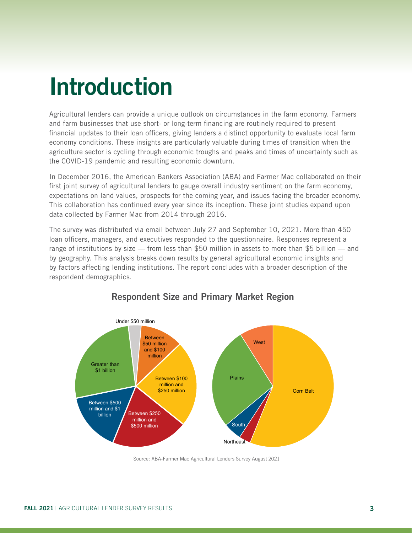# Introduction

Agricultural lenders can provide a unique outlook on circumstances in the farm economy. Farmers and farm businesses that use short- or long-term financing are routinely required to present financial updates to their loan officers, giving lenders a distinct opportunity to evaluate local farm economy conditions. These insights are particularly valuable during times of transition when the agriculture sector is cycling through economic troughs and peaks and times of uncertainty such as the COVID-19 pandemic and resulting economic downturn.

In December 2016, the American Bankers Association (ABA) and Farmer Mac collaborated on their first joint survey of agricultural lenders to gauge overall industry sentiment on the farm economy, expectations on land values, prospects for the coming year, and issues facing the broader economy. This collaboration has continued every year since its inception. These joint studies expand upon data collected by Farmer Mac from 2014 through 2016.

The survey was distributed via email between July 27 and September 10, 2021. More than 450 loan officers, managers, and executives responded to the questionnaire. Responses represent a range of institutions by size — from less than \$50 million in assets to more than \$5 billion — and by geography. This analysis breaks down results by general agricultural economic insights and by factors affecting lending institutions. The report concludes with a broader description of the respondent demographics.



# Respondent Size and Primary Market Region

Source: ABA-Farmer Mac Agricultural Lenders Survey August 2021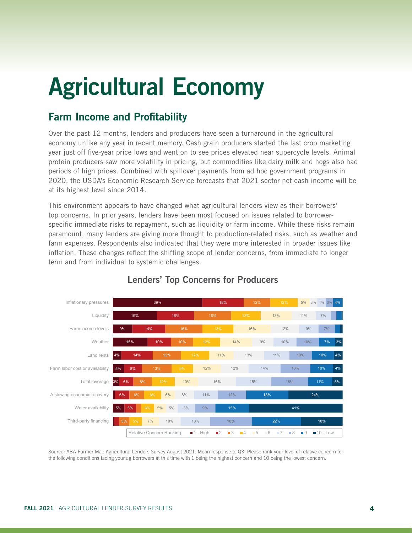# Agricultural Economy

### Farm Income and Profitability

Over the past 12 months, lenders and producers have seen a turnaround in the agricultural economy unlike any year in recent memory. Cash grain producers started the last crop marketing year just off five-year price lows and went on to see prices elevated near supercycle levels. Animal protein producers saw more volatility in pricing, but commodities like dairy milk and hogs also had periods of high prices. Combined with spillover payments from ad hoc government programs in 2020, the USDA's Economic Research Service forecasts that 2021 sector net cash income will be at its highest level since 2014.

This environment appears to have changed what agricultural lenders view as their borrowers' top concerns. In prior years, lenders have been most focused on issues related to borrowerspecific immediate risks to repayment, such as liquidity or farm income. While these risks remain paramount, many lenders are giving more thought to production-related risks, such as weather and farm expenses. Respondents also indicated that they were more interested in broader issues like inflation. These changes reflect the shifting scope of lender concerns, from immediate to longer term and from individual to systemic challenges.



#### Lenders' Top Concerns for Producers

.<br>Source: ABA-Farmer Mac Agricultural Lenders Survey August 2021. Mean response to Q3: Please rank your level of relative concern for the following conditions facing your ag borrowers at this time with 1 being the highest concern and 10 being the lowest concern.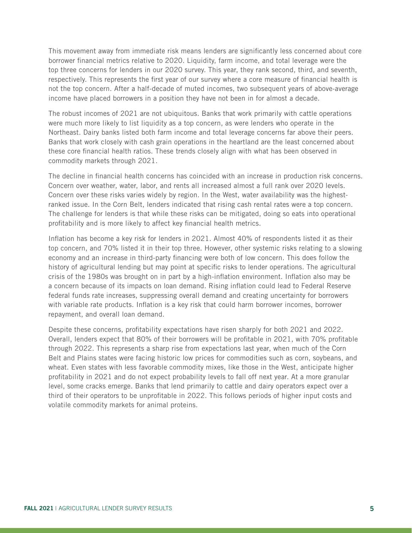This movement away from immediate risk means lenders are significantly less concerned about core borrower financial metrics relative to 2020. Liquidity, farm income, and total leverage were the top three concerns for lenders in our 2020 survey. This year, they rank second, third, and seventh, respectively. This represents the first year of our survey where a core measure of financial health is not the top concern. After a half-decade of muted incomes, two subsequent years of above-average income have placed borrowers in a position they have not been in for almost a decade.

The robust incomes of 2021 are not ubiquitous. Banks that work primarily with cattle operations were much more likely to list liquidity as a top concern, as were lenders who operate in the Northeast. Dairy banks listed both farm income and total leverage concerns far above their peers. Banks that work closely with cash grain operations in the heartland are the least concerned about these core financial health ratios. These trends closely align with what has been observed in commodity markets through 2021.

The decline in financial health concerns has coincided with an increase in production risk concerns. Concern over weather, water, labor, and rents all increased almost a full rank over 2020 levels. Concern over these risks varies widely by region. In the West, water availability was the highestranked issue. In the Corn Belt, lenders indicated that rising cash rental rates were a top concern. The challenge for lenders is that while these risks can be mitigated, doing so eats into operational profitability and is more likely to affect key financial health metrics.

Inflation has become a key risk for lenders in 2021. Almost 40% of respondents listed it as their top concern, and 70% listed it in their top three. However, other systemic risks relating to a slowing economy and an increase in third-party financing were both of low concern. This does follow the history of agricultural lending but may point at specific risks to lender operations. The agricultural crisis of the 1980s was brought on in part by a high-inflation environment. Inflation also may be a concern because of its impacts on loan demand. Rising inflation could lead to Federal Reserve federal funds rate increases, suppressing overall demand and creating uncertainty for borrowers with variable rate products. Inflation is a key risk that could harm borrower incomes, borrower repayment, and overall loan demand.

Despite these concerns, profitability expectations have risen sharply for both 2021 and 2022. Overall, lenders expect that 80% of their borrowers will be profitable in 2021, with 70% profitable through 2022. This represents a sharp rise from expectations last year, when much of the Corn Belt and Plains states were facing historic low prices for commodities such as corn, soybeans, and wheat. Even states with less favorable commodity mixes, like those in the West, anticipate higher profitability in 2021 and do not expect probability levels to fall off next year. At a more granular level, some cracks emerge. Banks that lend primarily to cattle and dairy operators expect over a third of their operators to be unprofitable in 2022. This follows periods of higher input costs and volatile commodity markets for animal proteins.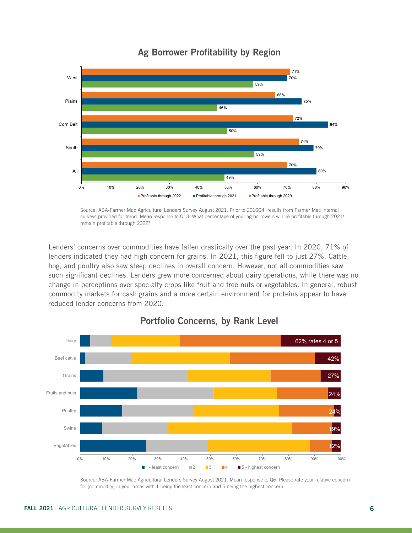

### Ag Borrower Profitability by Region Ag Borrower Profitability by Region

Source: ABA-Farmer Mac Agricultural Lenders Survey August 2021. Prior to 2016Q4, results from Farmer Mac internal surveys provided for trend. Mean response to Q13: What percentage of your ag borrowers will be profitable through 2021/<br>surveys provided for trend. Mean response to Q13: What percentage of your ag borrowers will be profita remain profitable through 2022?

Lenders' concerns over commodities have fallen drastically over the past year. In 2020, 71% of lenders indicated they had high concern for grains. In 2021, this figure fell to just 27%. Cattle, hog, and poultry also saw steep declines in overall concern. However, not all commodities saw such significant declines. Lenders grew more concerned about dairy operations, while there was no change in perceptions over specialty crops like fruit and tree nuts or vegetables. In general, robust commodity markets for cash grains and a more certain environment for proteins appear to have reduced lender concerns from 2020.



#### Portfolio Concerns, by Rank Level

Source: ABA-Farmer Mac Agricultural Lenders Survey August 2021 Source: ABA-Farmer Mac Agricultural Lenders Survey August 2021. Mean response to Q6: Please rate your relative concern for [commodity] in your areas with 1 being the least concern and 5 being the highest concern.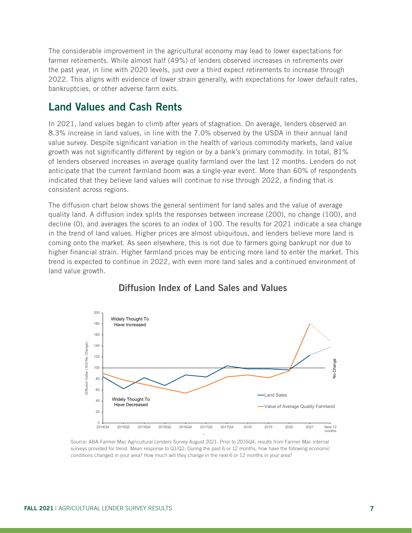The considerable improvement in the agricultural economy may lead to lower expectations for farmer retirements. While almost half (49%) of lenders observed increases in retirements over the past year, in line with 2020 levels, just over a third expect retirements to increase through 2022. This aligns with evidence of lower strain generally, with expectations for lower default rates, bankruptcies, or other adverse farm exits.

#### Land Values and Cash Rents

In 2021, land values began to climb after years of stagnation. On average, lenders observed an 8.3% increase in land values, in line with the 7.0% observed by the USDA in their annual land value survey. Despite significant variation in the health of various commodity markets, land value growth was not significantly different by region or by a bank's primary commodity. In total, 81% of lenders observed increases in average quality farmland over the last 12 months. Lenders do not anticipate that the current farmland boom was a single-year event. More than 60% of respondents indicated that they believe land values will continue to rise through 2022, a finding that is consistent across regions.

The diffusion chart below shows the general sentiment for land sales and the value of average quality land. A diffusion index splits the responses between increase (200), no change (100), and decline (0), and averages the scores to an index of 100. The results for 2021 indicate a sea change in the trend of land values. Higher prices are almost ubiquitous, and lenders believe more land is coming onto the market. As seen elsewhere, this is not due to farmers going bankrupt nor due to higher financial strain. Higher farmland prices may be enticing more land to enter the market. This trend is expected to continue in 2022, with even more land sales and a continued environment of land value growth.



#### Diffusion Index of Land Sales and Values

Source: ABA-Farmer Mac Agricultural Lenders Survey August 2021. Prior to 2016Q4, results from Farmer Mac internal surveys provided for trend. Mean response to Q1/Q2: During the past 6 or 12 months, how have the following economic conditions changed in your area? How much will they change in the next 6 or 12 months in your area?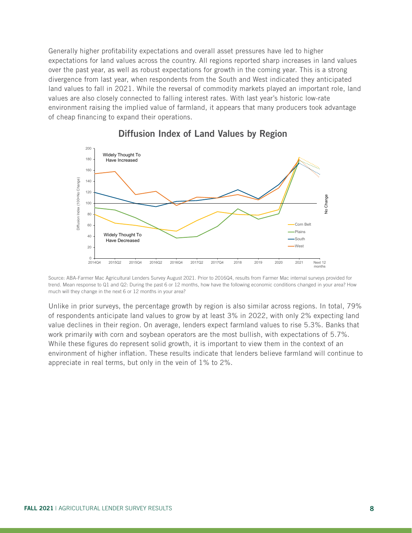Generally higher profitability expectations and overall asset pressures have led to higher expectations for land values across the country. All regions reported sharp increases in land values over the past year, as well as robust expectations for growth in the coming year. This is a strong divergence from last year, when respondents from the South and West indicated they anticipated land values to fall in 2021. While the reversal of commodity markets played an important role, land values are also closely connected to falling interest rates. With last year's historic low-rate environment raising the implied value of farmland, it appears that many producers took advantage of cheap financing to expand their operations.



#### Diffusion Index of Land Values by Region

Source: ABA-Farmer Mac Agricultural Lenders Survey August 2021. Prior to 2016Q4, results from Farmer Mac internal surveys provided for trend. Mean response to Q1 and Q2: During the past 6 or 12 months, how have the following economic conditions changed in your area? How much will they change in the next 6 or 12 months in your area?

Unlike in prior surveys, the percentage growth by region is also similar across regions. In total, 79% of respondents anticipate land values to grow by at least 3% in 2022, with only 2% expecting land value declines in their region. On average, lenders expect farmland values to rise 5.3%. Banks that work primarily with corn and soybean operators are the most bullish, with expectations of 5.7%. While these figures do represent solid growth, it is important to view them in the context of an environment of higher inflation. These results indicate that lenders believe farmland will continue to appreciate in real terms, but only in the vein of 1% to 2%.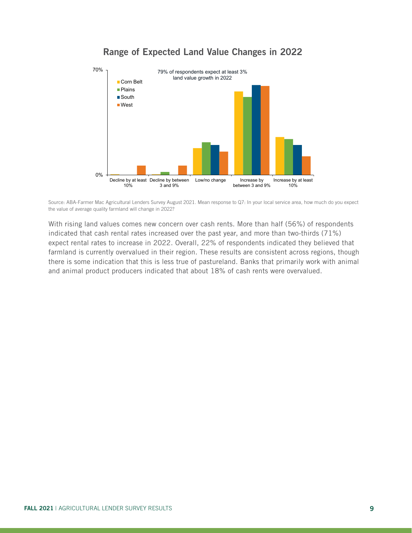

#### Range of Expected Land Value Changes in 2022

Source: ABA-Farmer Mac Agricultural Lenders Survey August 2021. Mean response to Q7: In your local service area, how much do you expect the value of average quality farmland will change in 2022?

With rising land values comes new concern over cash rents. More than half (56%) of respondents indicated that cash rental rates increased over the past year, and more than two-thirds (71%) expect rental rates to increase in 2022. Overall, 22% of respondents indicated they believed that farmland is currently overvalued in their region. These results are consistent across regions, though there is some indication that this is less true of pastureland. Banks that primarily work with animal and animal product producers indicated that about 18% of cash rents were overvalued.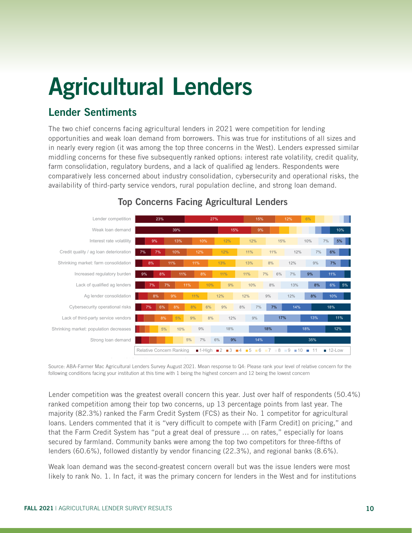# Agricultural Lenders

### Lender Sentiments

The two chief concerns facing agricultural lenders in 2021 were competition for lending opportunities and weak loan demand from borrowers. This was true for institutions of all sizes and in nearly every region (it was among the top three concerns in the West). Lenders expressed similar middling concerns for these five subsequently ranked options: interest rate volatility, credit quality, farm consolidation, regulatory burdens, and a lack of qualified ag lenders. Respondents were comparatively less concerned about industry consolidation, cybersecurity and operational risks, the availability of third-party service vendors, rural population decline, and strong loan demand.



#### **Top Concerns Facing Agricultural Lenders**

Source: ABA-Farmer Mac Agricultural Lenders Survey August 2021. Mean response to Q4: Please rank your level of relative concern for the following conditions facing your institution at this time with 1 being the highest concern and 12 being the lowest concern

Lender competition was the greatest overall concern this year. Just over half of respondents (50.4%) ranked competition among their top two concerns, up 13 percentage points from last year. The majority (82.3%) ranked the Farm Credit System (FCS) as their No. 1 competitor for agricultural loans. Lenders commented that it is "very difficult to compete with [Farm Credit] on pricing," and that the Farm Credit System has "put a great deal of pressure … on rates," especially for loans secured by farmland. Community banks were among the top two competitors for three-fifths of lenders (60.6%), followed distantly by vendor financing (22.3%), and regional banks (8.6%).

Weak loan demand was the second-greatest concern overall but was the issue lenders were most likely to rank No. 1. In fact, it was the primary concern for lenders in the West and for institutions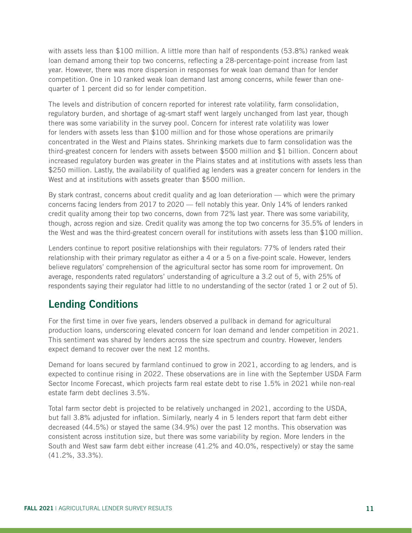with assets less than \$100 million. A little more than half of respondents (53.8%) ranked weak loan demand among their top two concerns, reflecting a 28-percentage-point increase from last year. However, there was more dispersion in responses for weak loan demand than for lender competition. One in 10 ranked weak loan demand last among concerns, while fewer than onequarter of 1 percent did so for lender competition.

The levels and distribution of concern reported for interest rate volatility, farm consolidation, regulatory burden, and shortage of ag-smart staff went largely unchanged from last year, though there was some variability in the survey pool. Concern for interest rate volatility was lower for lenders with assets less than \$100 million and for those whose operations are primarily concentrated in the West and Plains states. Shrinking markets due to farm consolidation was the third-greatest concern for lenders with assets between \$500 million and \$1 billion. Concern about increased regulatory burden was greater in the Plains states and at institutions with assets less than \$250 million. Lastly, the availability of qualified ag lenders was a greater concern for lenders in the West and at institutions with assets greater than \$500 million.

By stark contrast, concerns about credit quality and ag loan deterioration — which were the primary concerns facing lenders from 2017 to 2020 — fell notably this year. Only 14% of lenders ranked credit quality among their top two concerns, down from 72% last year. There was some variability, though, across region and size. Credit quality was among the top two concerns for 35.5% of lenders in the West and was the third-greatest concern overall for institutions with assets less than \$100 million.

Lenders continue to report positive relationships with their regulators: 77% of lenders rated their relationship with their primary regulator as either a 4 or a 5 on a five-point scale. However, lenders believe regulators' comprehension of the agricultural sector has some room for improvement. On average, respondents rated regulators' understanding of agriculture a 3.2 out of 5, with 25% of respondents saying their regulator had little to no understanding of the sector (rated 1 or 2 out of 5).

#### Lending Conditions

For the first time in over five years, lenders observed a pullback in demand for agricultural production loans, underscoring elevated concern for loan demand and lender competition in 2021. This sentiment was shared by lenders across the size spectrum and country. However, lenders expect demand to recover over the next 12 months.

Demand for loans secured by farmland continued to grow in 2021, according to ag lenders, and is expected to continue rising in 2022. These observations are in line with the September USDA Farm Sector Income Forecast, which projects farm real estate debt to rise 1.5% in 2021 while non-real estate farm debt declines 3.5%.

Total farm sector debt is projected to be relatively unchanged in 2021, according to the USDA, but fall 3.8% adjusted for inflation. Similarly, nearly 4 in 5 lenders report that farm debt either decreased (44.5%) or stayed the same (34.9%) over the past 12 months. This observation was consistent across institution size, but there was some variability by region. More lenders in the South and West saw farm debt either increase (41.2% and 40.0%, respectively) or stay the same (41.2%, 33.3%).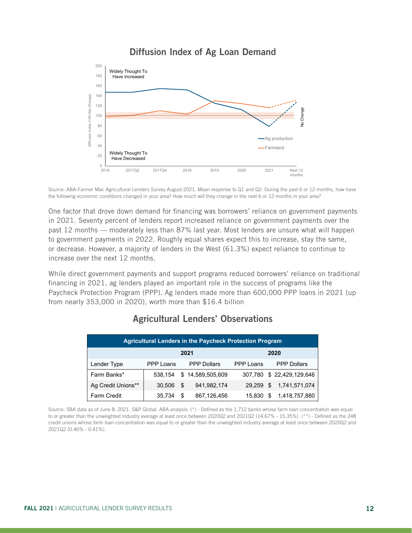

#### Diffusion Index of Ag Loan Demand

Source: ABA-Farmer Mac Agricultural Lenders Survey August 2021. Mean response to Q1 and Q2: During the past 6 or 12 months, how have the following economic conditions changed in your area? How much will they change in the next 6 or 12 months in your area?

One factor that drove down demand for financing was borrowers' reliance on government payments in 2021. Seventy percent of lenders report increased reliance on government payments over the past 12 months — moderately less than 87% last year. Most lenders are unsure what will happen to government payments in 2022. Roughly equal shares expect this to increase, stay the same, or decrease. However, a majority of lenders in the West (61.3%) expect reliance to continue to increase over the next 12 months.

While direct government payments and support programs reduced borrowers' reliance on traditional financing in 2021, ag lenders played an important role in the success of programs like the Paycheck Protection Program (PPP). Ag lenders made more than 600,000 PPP loans in 2021 (up from nearly 353,000 in 2020), worth more than \$16.4 billion

| <b>Agricultural Lenders in the Paycheck Protection Program</b> |           |     |                    |           |  |                          |  |
|----------------------------------------------------------------|-----------|-----|--------------------|-----------|--|--------------------------|--|
|                                                                | 2021      |     |                    | 2020      |  |                          |  |
| Lender Type                                                    | PPP Loans |     | <b>PPP Dollars</b> | PPP Loans |  | <b>PPP Dollars</b>       |  |
| Farm Banks*                                                    | 538.154   |     | \$14.589.505.609   |           |  | 307,780 \$22,429,129,646 |  |
| Ag Credit Unions**                                             | 30.506    | \$. | 941.982.174        |           |  | 29,259 \$ 1,741,571,074  |  |
| <b>Farm Credit</b>                                             | 35.734    | \$. | 867,126,456        | 15,830    |  | \$1,418,757,880          |  |

#### Agricultural Lenders' Observations

Source: SBA data as of June 8, 2021. S&P Global. ABA analysis Source: SBA data as of June 8, 2021. S&P Global. ABA analysis. (\*) - Defined as the 1,712 banks whose farm loan concentration was equal to or greater than the unweighted industry average at least once between 2020Q2 and 2021Q2 (14.67% - 15.35%). (\*\*) - Defined as the 248 credit unions whose farm loan concentration was equal to or greater than the unweighted industry average at least once between 2020Q2 and - 15.35%). 2021Q2 (0.40% - 0.41%).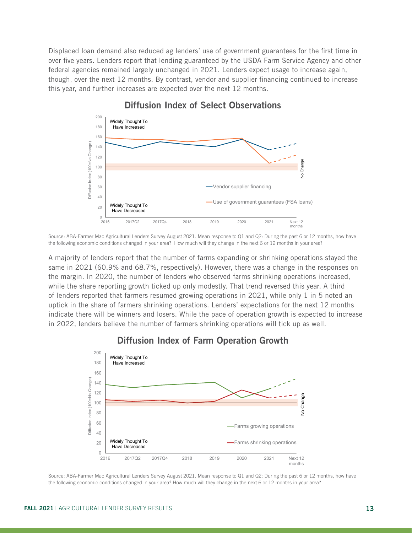Displaced loan demand also reduced ag lenders' use of government guarantees for the first time in over five years. Lenders report that lending guaranteed by the USDA Farm Service Agency and other federal agencies remained largely unchanged in 2021. Lenders expect usage to increase again, though, over the next 12 months. By contrast, vendor and supplier financing continued to increase this year, and further increases are expected over the next 12 months.



## Diffusion Index of Select Observations Diffusion Index of Select Observations

the following economic conditions changed in your area? How much will they change in the next 6 or 12 months in your area? Source: ABA-Farmer Mac Agricultural Lenders Survey August 2021. Mean response to Q1 and Q2: During the past 6 or 12 months, how have

A majority of lenders report that the number of farms expanding or shrinking operations stayed the same in 2021 (60.9% and 68.7%, respectively). However, there was a change in the responses on the margin. In 2020, the number of lenders who observed farms shrinking operations increased, while the share reporting growth ticked up only modestly. That trend reversed this year. A third of lenders reported that farmers resumed growing operations in 2021, while only 1 in 5 noted an uptick in the share of farmers shrinking operations. Lenders' expectations for the next 12 months indicate there will be winners and losers. While the pace of operation growth is expected to increase in 2022, lenders believe the number of farmers shrinking operations will tick up as well.



### Diffusion Index of Farm Operation Growth Diffusion Index of Farm Operation Growth

Source: ABA-Farmer Mac Agricultural Lenders Survey August 2021. Mean response to Q1 and Q2: During the past 6 or 12 months, how have the following economic conditions changed in your area? How much will they change in the next 6 or 12 months in your area?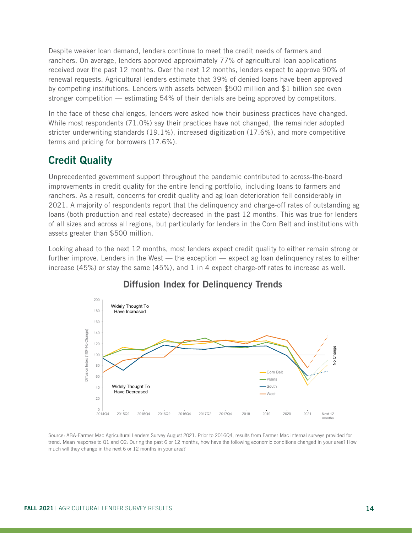Despite weaker loan demand, lenders continue to meet the credit needs of farmers and ranchers. On average, lenders approved approximately 77% of agricultural loan applications received over the past 12 months. Over the next 12 months, lenders expect to approve 90% of renewal requests. Agricultural lenders estimate that 39% of denied loans have been approved by competing institutions. Lenders with assets between \$500 million and \$1 billion see even stronger competition — estimating 54% of their denials are being approved by competitors.

In the face of these challenges, lenders were asked how their business practices have changed. While most respondents (71.0%) say their practices have not changed, the remainder adopted stricter underwriting standards (19.1%), increased digitization (17.6%), and more competitive terms and pricing for borrowers (17.6%).

#### Credit Quality

Unprecedented government support throughout the pandemic contributed to across-the-board improvements in credit quality for the entire lending portfolio, including loans to farmers and ranchers. As a result, concerns for credit quality and ag loan deterioration fell considerably in 2021. A majority of respondents report that the delinquency and charge-off rates of outstanding ag loans (both production and real estate) decreased in the past 12 months. This was true for lenders of all sizes and across all regions, but particularly for lenders in the Corn Belt and institutions with assets greater than \$500 million.

Looking ahead to the next 12 months, most lenders expect credit quality to either remain strong or further improve. Lenders in the West — the exception — expect ag loan delinquency rates to either increase (45%) or stay the same (45%), and 1 in 4 expect charge-off rates to increase as well.



#### Diffusion Index for Delinquency Trends

.<br>Source: ABA-Farmer Mac Agricultural Lenders Survey August 2021. Prior to 2016Q4, results from Farmer Mac internal surveys provided for trend. Mean response to Q1 and Q2: During the past 6 or 12 months, how have the following economic conditions changed in your area? How much will they change in the next 6 or 12 months in your area?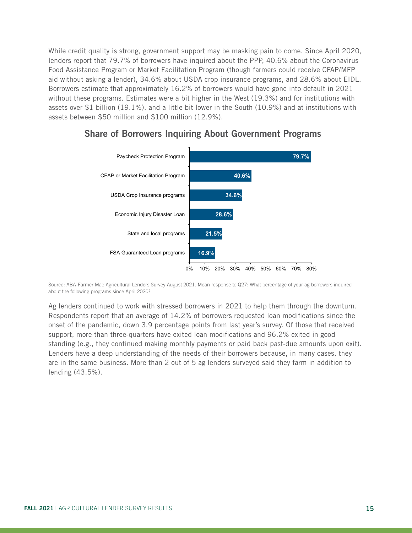While credit quality is strong, government support may be masking pain to come. Since April 2020, lenders report that 79.7% of borrowers have inquired about the PPP, 40.6% about the Coronavirus Food Assistance Program or Market Facilitation Program (though farmers could receive CFAP/MFP aid without asking a lender), 34.6% about USDA crop insurance programs, and 28.6% about EIDL. Borrowers estimate that approximately 16.2% of borrowers would have gone into default in 2021 without these programs. Estimates were a bit higher in the West (19.3%) and for institutions with assets over \$1 billion (19.1%), and a little bit lower in the South (10.9%) and at institutions with assets between \$50 million and \$100 million (12.9%).



#### Share of Borrowers Inquiring About Government Programs

Source: ABA-Farmer Mac Agricultural Lenders Survey August 2021. Mean response to Q27: What percentage of your ag borrowers inquired about the following programs since April 2020?

Ag lenders continued to work with stressed borrowers in 2021 to help them through the downturn. Respondents report that an average of 14.2% of borrowers requested loan modifications since the onset of the pandemic, down 3.9 percentage points from last year's survey. Of those that received support, more than three-quarters have exited loan modifications and 96.2% exited in good standing (e.g., they continued making monthly payments or paid back past-due amounts upon exit). Lenders have a deep understanding of the needs of their borrowers because, in many cases, they are in the same business. More than 2 out of 5 ag lenders surveyed said they farm in addition to lending (43.5%).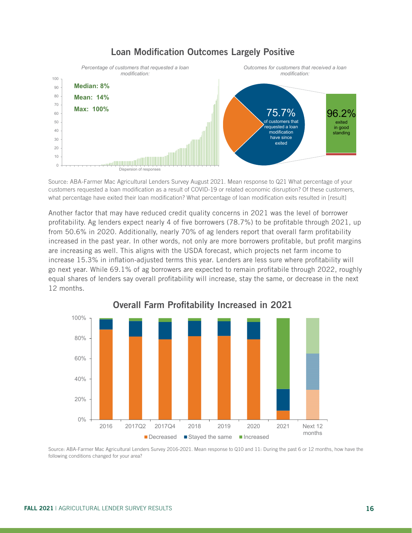

#### Loan Modification Outcomes Largely Positive Loan Modification Outcomes Largely Positive

Source: ABA-Farmer Mac Agricultural Lenders Survey August 2021. Mean response to Q21 What percentage of your customers requested a loan modification as a result of COVID-19 or related economic disruption? Of these customers, what percentage have exited their loan modification? What percentage of loan modification exits resulted in [result]

Another factor that may have reduced credit quality concerns in 2021 was the level of borrower profitability. Ag lenders expect nearly 4 of five borrowers (78.7%) to be profitable through 2021, up from 50.6% in 2020. Additionally, nearly 70% of ag lenders report that overall farm profitability increased in the past year. In other words, not only are more borrowers profitable, but profit margins are increasing as well. This aligns with the USDA forecast, which projects net farm income to increase 15.3% in inflation-adjusted terms this year. Lenders are less sure where profitability will go next year. While 69.1% of ag borrowers are expected to remain profitabile through 2022, roughly equal shares of lenders say overall profitability will increase, stay the same, or decrease in the next 12 months.



Overall Farm Profitability Increased in 2021

Source: ABA-Farmer Mac Agricultural Lenders Survey 2016-2021. Mean response to Q10 and 11: During the past 6 or 12 months, how have the following conditions changed for your area?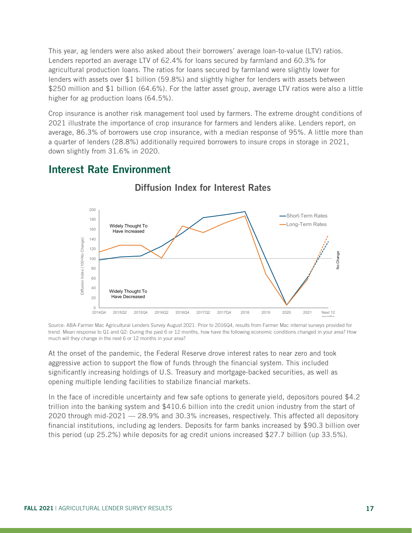This year, ag lenders were also asked about their borrowers' average loan-to-value (LTV) ratios. Lenders reported an average LTV of 62.4% for loans secured by farmland and 60.3% for agricultural production loans. The ratios for loans secured by farmland were slightly lower for lenders with assets over \$1 billion (59.8%) and slightly higher for lenders with assets between \$250 million and \$1 billion (64.6%). For the latter asset group, average LTV ratios were also a little higher for ag production loans (64.5%).

Crop insurance is another risk management tool used by farmers. The extreme drought conditions of 2021 illustrate the importance of crop insurance for farmers and lenders alike. Lenders report, on average, 86.3% of borrowers use crop insurance, with a median response of 95%. A little more than a quarter of lenders (28.8%) additionally required borrowers to insure crops in storage in 2021, down slightly from 31.6% in 2020.

#### Interest Rate Environment



Diffusion Index for Interest Rates

trend. Mean response to Q1 and Q2: During the past 6 or 12 months, how have the following economic conditions changed in your area? How much will they change in the next 6 or 12 months in your area?  $\blacksquare$ Source: ABA-Farmer Mac Agricultural Lenders Survey August 2021. Prior to 2016Q4, results from Farmer Mac internal surveys provided for

At the onset of the pandemic, the Federal Reserve drove interest rates to near zero and took aggressive action to support the flow of funds through the financial system. This included significantly increasing holdings of U.S. Treasury and mortgage-backed securities, as well as opening multiple lending facilities to stabilize financial markets.

In the face of incredible uncertainty and few safe options to generate yield, depositors poured \$4.2 trillion into the banking system and \$410.6 billion into the credit union industry from the start of 2020 through mid-2021 — 28.9% and 30.3% increases, respectively. This affected all depository financial institutions, including ag lenders. Deposits for farm banks increased by \$90.3 billion over this period (up 25.2%) while deposits for ag credit unions increased \$27.7 billion (up 33.5%).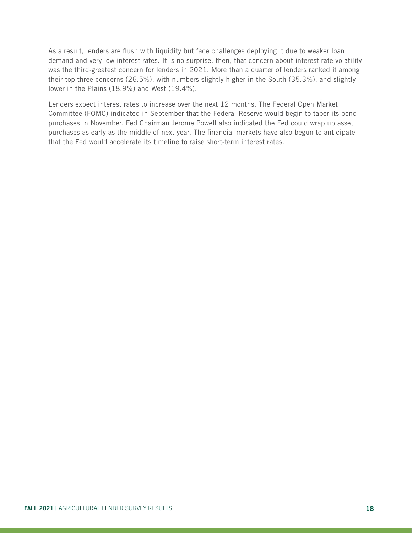As a result, lenders are flush with liquidity but face challenges deploying it due to weaker loan demand and very low interest rates. It is no surprise, then, that concern about interest rate volatility was the third-greatest concern for lenders in 2021. More than a quarter of lenders ranked it among their top three concerns (26.5%), with numbers slightly higher in the South (35.3%), and slightly lower in the Plains (18.9%) and West (19.4%).

Lenders expect interest rates to increase over the next 12 months. The Federal Open Market Committee (FOMC) indicated in September that the Federal Reserve would begin to taper its bond purchases in November. Fed Chairman Jerome Powell also indicated the Fed could wrap up asset purchases as early as the middle of next year. The financial markets have also begun to anticipate that the Fed would accelerate its timeline to raise short-term interest rates.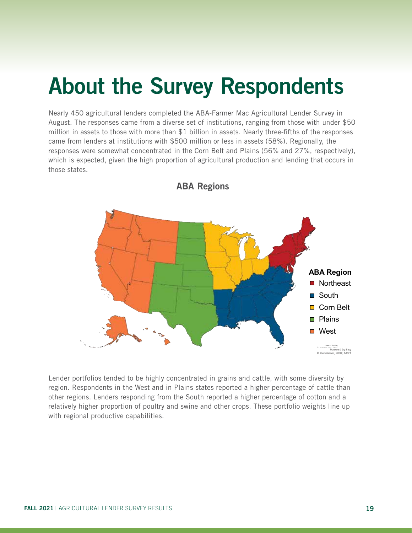# About the Survey Respondents

Nearly 450 agricultural lenders completed the ABA-Farmer Mac Agricultural Lender Survey in August. The responses came from a diverse set of institutions, ranging from those with under \$50 million in assets to those with more than \$1 billion in assets. Nearly three-fifths of the responses came from lenders at institutions with \$500 million or less in assets (58%). Regionally, the responses were somewhat concentrated in the Corn Belt and Plains (56% and 27%, respectively), which is expected, given the high proportion of agricultural production and lending that occurs in those states.



ABA Regions

Lender portfolios tended to be highly concentrated in grains and cattle, with some diversity by region. Respondents in the West and in Plains states reported a higher percentage of cattle than other regions. Lenders responding from the South reported a higher percentage of cotton and a relatively higher proportion of poultry and swine and other crops. These portfolio weights line up with regional productive capabilities.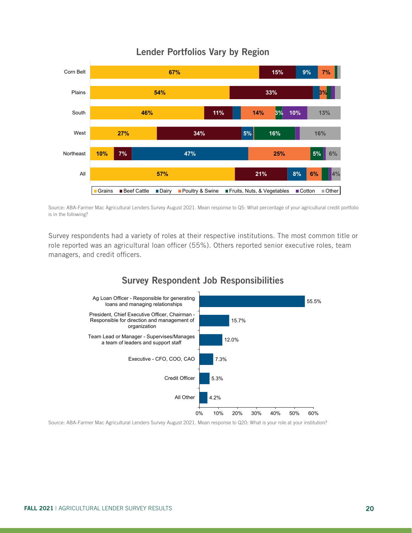

### Lender Portfolios Vary by Region Lender Portfolios Vary by Region

Source: ABA-Farmer Mac Agricultural Lenders Survey August 2021. Mean response to Q5: What percentage of your agricultural credit portfolio is in the following?

Survey respondents had a variety of roles at their respective institutions. The most common title or role reported was an agricultural loan officer (55%). Others reported senior executive roles, team managers, and credit officers.

#### 4.2% 5.3% 7.3% 12.0% 15.7% 55.5% 0% 10% 20% 30% 40% 50% 60% All Other Credit Officer Executive - CFO, COO, CAO Team Lead or Manager - Supervises/Manages a team of leaders and support staff President, Chief Executive Officer, Chairman - Responsible for direction and management of organization Ag Loan Officer - Responsible for generating loans and managing relationships

Survey Respondent Job Responsibilities

Source: ABA-Farmer Mac Agricultural Lenders Survey August 2021. Mean response to Q20: What is your role at your institution?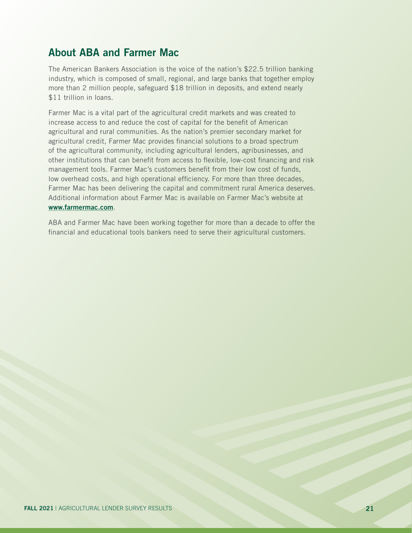### About ABA and Farmer Mac

The American Bankers Association is the voice of the nation's \$22.5 trillion banking industry, which is composed of small, regional, and large banks that together employ more than 2 million people, safeguard \$18 trillion in deposits, and extend nearly \$11 trillion in loans.

Farmer Mac is a vital part of the agricultural credit markets and was created to increase access to and reduce the cost of capital for the benefit of American agricultural and rural communities. As the nation's premier secondary market for agricultural credit, Farmer Mac provides financial solutions to a broad spectrum of the agricultural community, including agricultural lenders, agribusinesses, and other institutions that can benefit from access to flexible, low-cost financing and risk management tools. Farmer Mac's customers benefit from their low cost of funds, low overhead costs, and high operational efficiency. For more than three decades, Farmer Mac has been delivering the capital and commitment rural America deserves. Additional information about Farmer Mac is available on Farmer Mac's website at www.farmermac.com.

ABA and Farmer Mac have been working together for more than a decade to offer the financial and educational tools bankers need to serve their agricultural customers.